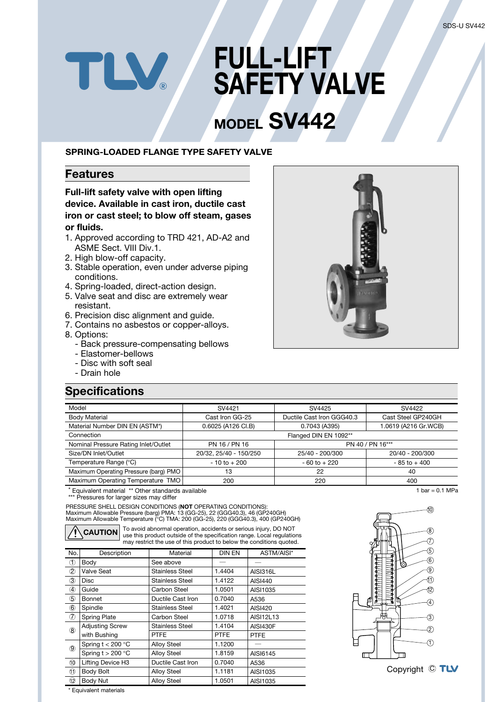# **FULL-LIFT SAFETY VALVE**

# **MODEL SV442**

#### **SPRING-LOADED FLANGE TYPE SAFETY VALVE**

#### **Features**

**Full-lift safety valve with open lifting device. Available in cast iron, ductile cast iron or cast steel; to blow off steam, gases or fluids.**

- 1. Approved according to TRD 421, AD-A2 and ASME Sect. VIII Div.1.
- 2. High blow-off capacity.
- 3. Stable operation, even under adverse piping conditions.
- 4. Spring-loaded, direct-action design.

LV.

- 5. Valve seat and disc are extremely wear resistant.
- 6. Precision disc alignment and guide.
- 7. Contains no asbestos or copper-alloys.
- 8. Options:
	- Back pressure-compensating bellows
	- Elastomer-bellows
	- Disc with soft seal
	- Drain hole

## **Specifications**

| Model                                 | SV4421                              | SV4425                    | SV4422               |  |  |  |  |
|---------------------------------------|-------------------------------------|---------------------------|----------------------|--|--|--|--|
| <b>Body Material</b>                  | Cast Iron GG-25                     | Ductile Cast Iron GGG40.3 | Cast Steel GP240GH   |  |  |  |  |
| Material Number DIN EN (ASTM*)        | 0.6025 (A126 CI.B)<br>0.7043 (A395) |                           | 1.0619 (A216 Gr.WCB) |  |  |  |  |
| Connection                            |                                     | Flanged DIN EN 1092**     |                      |  |  |  |  |
| Nominal Pressure Rating Inlet/Outlet  | PN 16 / PN 16                       | PN 40 / PN 16***          |                      |  |  |  |  |
| Size/DN Inlet/Outlet                  | 20/32, 25/40 - 150/250              | 25/40 - 200/300           | 20/40 - 200/300      |  |  |  |  |
| Temperature Range (°C)                | $-10$ to $+200$                     | $-60$ to $+220$           | $-85$ to $+400$      |  |  |  |  |
| Maximum Operating Pressure (barg) PMO | 13                                  | 22                        | 40                   |  |  |  |  |
| Maximum Operating Temperature TMO     | 200                                 | 220                       | 400                  |  |  |  |  |

Equivalent material \*\* Other standards available

\*\*\* Pressures for larger sizes may differ

PRESSURE SHELL DESIGN CONDITIONS (**NOT** OPERATING CONDITIONS): Maximum Allowable Pressure (barg) PMA: 13 (GG-25), 22 (GGG40.3), 46 (GP240GH) Maximum Allowable Temperature (°C) TMA: 200 (GG-25), 220 (GGG40.3), 400 (GP240GH)

**CAUTION**

To avoid abnormal operation, accidents or serious injury, DO NOT use this product outside of the specification range. Local regulations may restrict the use of this product to below the conditions quoted.

| No.                    | Description            | Material               | <b>DIN EN</b> | ASTM/AISI*      |  |  |  |
|------------------------|------------------------|------------------------|---------------|-----------------|--|--|--|
| $\circledcirc$         | Body                   | See above              |               |                 |  |  |  |
| $\circledZ$            | Valve Seat             | <b>Stainless Steel</b> | 1.4404        | <b>AISI316L</b> |  |  |  |
| 3                      | Disc                   | <b>Stainless Steel</b> | 1.4122        | AISI440         |  |  |  |
| ④                      | Guide                  | Carbon Steel           | 1.0501        | AISI1035        |  |  |  |
| (5)                    | Bonnet                 | Ductile Cast Iron      | 0.7040        | A536            |  |  |  |
| $\circled6$            | Spindle                | <b>Stainless Steel</b> | 1.4021        | AISI420         |  |  |  |
| $\sigma$               | <b>Spring Plate</b>    | Carbon Steel           | 1.0718        | AISI12L13       |  |  |  |
| $\circledR$            | <b>Adjusting Screw</b> | <b>Stainless Steel</b> | 1.4104        | <b>AISI430F</b> |  |  |  |
|                        | with Bushing           | <b>PTFE</b>            | <b>PTFE</b>   | <b>PTFE</b>     |  |  |  |
| $\circledS$            | Spring $t < 200$ °C    | <b>Alloy Steel</b>     | 1.1200        |                 |  |  |  |
|                        | Spring $t > 200$ °C    | <b>Alloy Steel</b>     | 1.8159        | AISI6145        |  |  |  |
| $\overline{10}$        | Lifting Device H3      | Ductile Cast Iron      | 0.7040        | A536            |  |  |  |
| O                      | <b>Body Bolt</b>       | <b>Alloy Steel</b>     | 1.1181        | AISI1035        |  |  |  |
| 12                     | Body Nut               | <b>Alloy Steel</b>     | 1.0501        | AISI1035        |  |  |  |
| * Equivalent materials |                        |                        |               |                 |  |  |  |





 $1 \text{ bar} = 0.1 \text{ MPa}$